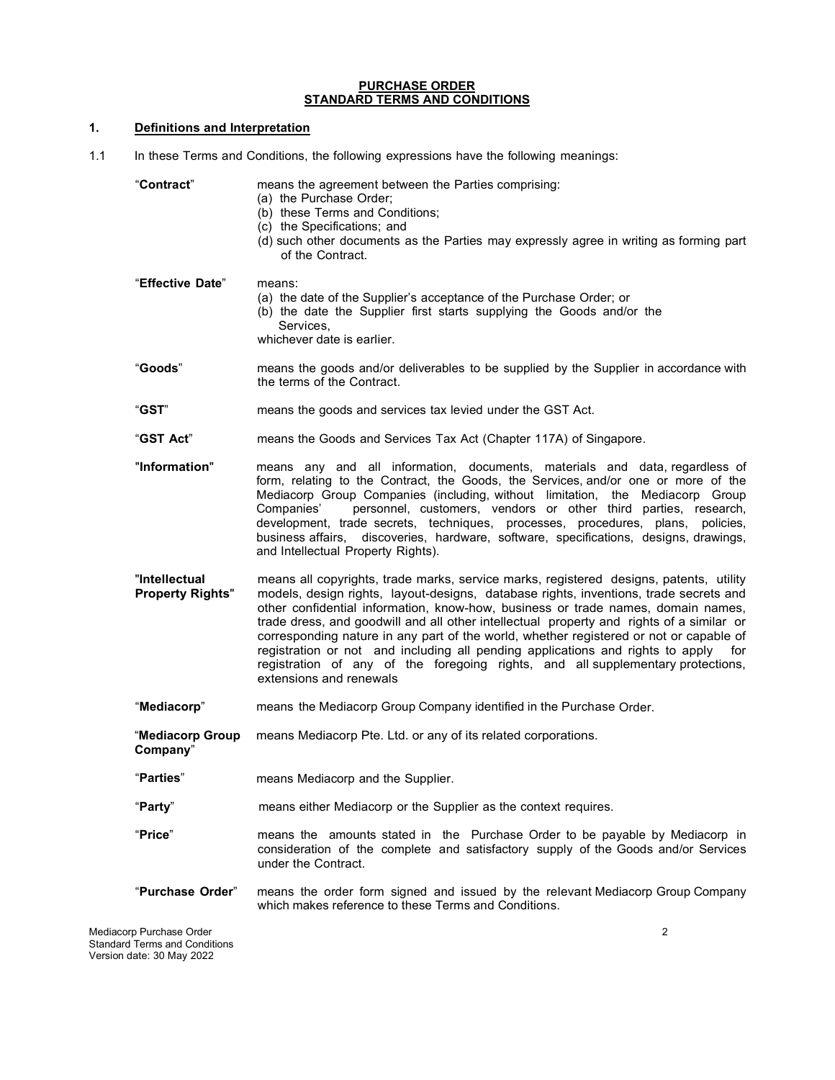#### **PURCHASE ORDER STANDARD TERMS AND CONDITIONS**

# **1. Definitions and Interpretation**

1.1 In these Terms and Conditions, the following expressions have the following meanings:

| "Contract"                               | means the agreement between the Parties comprising:<br>(a) the Purchase Order;<br>(b) these Terms and Conditions;<br>(c) the Specifications; and<br>(d) such other documents as the Parties may expressly agree in writing as forming part<br>of the Contract.                                                                                                                                                                                                                                                                                                                                                                                                |
|------------------------------------------|---------------------------------------------------------------------------------------------------------------------------------------------------------------------------------------------------------------------------------------------------------------------------------------------------------------------------------------------------------------------------------------------------------------------------------------------------------------------------------------------------------------------------------------------------------------------------------------------------------------------------------------------------------------|
| "Effective Date"                         | means:<br>(a) the date of the Supplier's acceptance of the Purchase Order; or<br>(b) the date the Supplier first starts supplying the Goods and/or the<br>Services,<br>whichever date is earlier.                                                                                                                                                                                                                                                                                                                                                                                                                                                             |
| "Goods"                                  | means the goods and/or deliverables to be supplied by the Supplier in accordance with<br>the terms of the Contract.                                                                                                                                                                                                                                                                                                                                                                                                                                                                                                                                           |
| "GST"                                    | means the goods and services tax levied under the GST Act.                                                                                                                                                                                                                                                                                                                                                                                                                                                                                                                                                                                                    |
| "GST Act"                                | means the Goods and Services Tax Act (Chapter 117A) of Singapore.                                                                                                                                                                                                                                                                                                                                                                                                                                                                                                                                                                                             |
| "Information"                            | means any and all information, documents, materials and data, regardless of<br>form, relating to the Contract, the Goods, the Services, and/or one or more of the<br>Mediacorp Group Companies (including, without limitation, the Mediacorp Group<br>personnel, customers, vendors or other third parties, research,<br>Companies'<br>development, trade secrets, techniques, processes, procedures, plans, policies,<br>business affairs, discoveries, hardware, software, specifications, designs, drawings,<br>and Intellectual Property Rights).                                                                                                         |
| "Intellectual<br><b>Property Rights"</b> | means all copyrights, trade marks, service marks, registered designs, patents, utility<br>models, design rights, layout-designs, database rights, inventions, trade secrets and<br>other confidential information, know-how, business or trade names, domain names,<br>trade dress, and goodwill and all other intellectual property and rights of a similar or<br>corresponding nature in any part of the world, whether registered or not or capable of<br>registration or not and including all pending applications and rights to apply for<br>registration of any of the foregoing rights, and all supplementary protections,<br>extensions and renewals |
| "Mediacorp"                              | means the Mediacorp Group Company identified in the Purchase Order.                                                                                                                                                                                                                                                                                                                                                                                                                                                                                                                                                                                           |
| "Mediacorp Group<br>Company"             | means Mediacorp Pte. Ltd. or any of its related corporations.                                                                                                                                                                                                                                                                                                                                                                                                                                                                                                                                                                                                 |
| "Parties"                                | means Mediacorp and the Supplier.                                                                                                                                                                                                                                                                                                                                                                                                                                                                                                                                                                                                                             |
| "Party"                                  | means either Mediacorp or the Supplier as the context requires.                                                                                                                                                                                                                                                                                                                                                                                                                                                                                                                                                                                               |
| "Price"                                  | means the amounts stated in the Purchase Order to be payable by Mediacorp in<br>consideration of the complete and satisfactory supply of the Goods and/or Services<br>under the Contract.                                                                                                                                                                                                                                                                                                                                                                                                                                                                     |
| "Purchase Order"                         | means the order form signed and issued by the relevant Mediacorp Group Company<br>which makes reference to these Terms and Conditions.                                                                                                                                                                                                                                                                                                                                                                                                                                                                                                                        |
| Mediacorp Purchase Order                 | 2                                                                                                                                                                                                                                                                                                                                                                                                                                                                                                                                                                                                                                                             |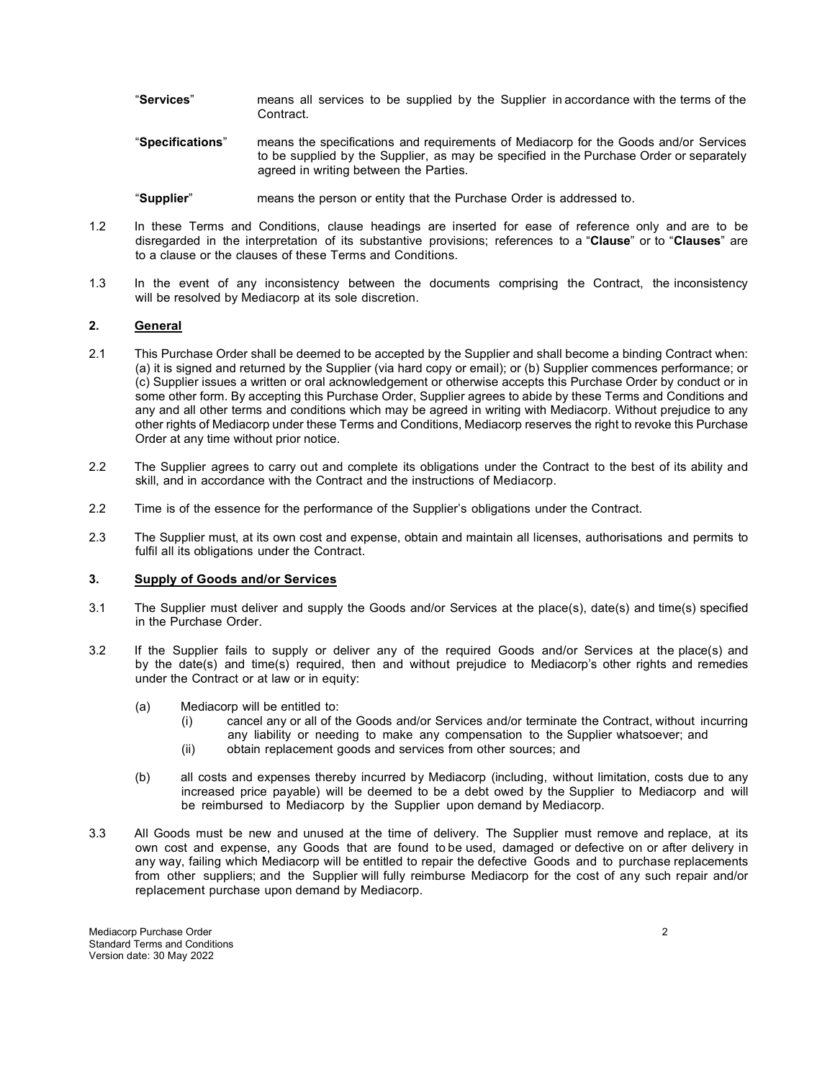- "**Services**" means all services to be supplied by the Supplier in accordance with the terms of the Contract.
- "**Specifications**" means the specifications and requirements of Mediacorp for the Goods and/or Services to be supplied by the Supplier, as may be specified in the Purchase Order or separately agreed in writing between the Parties.
- "**Supplier**" means the person or entity that the Purchase Order is addressed to.
- 1.2 In these Terms and Conditions, clause headings are inserted for ease of reference only and are to be disregarded in the interpretation of its substantive provisions; references to a "**Clause**" or to "**Clauses**" are to a clause or the clauses of these Terms and Conditions.
- 1.3 In the event of any inconsistency between the documents comprising the Contract, the inconsistency will be resolved by Mediacorp at its sole discretion.

## **2. General**

- 2.1 This Purchase Order shall be deemed to be accepted by the Supplier and shall become a binding Contract when: (a) it is signed and returned by the Supplier (via hard copy or email); or (b) Supplier commences performance; or (c) Supplier issues a written or oral acknowledgement or otherwise accepts this Purchase Order by conduct or in some other form. By accepting this Purchase Order, Supplier agrees to abide by these Terms and Conditions and any and all other terms and conditions which may be agreed in writing with Mediacorp. Without prejudice to any other rights of Mediacorp under these Terms and Conditions, Mediacorp reserves the right to revoke this Purchase Order at any time without prior notice.
- 2.2 The Supplier agrees to carry out and complete its obligations under the Contract to the best of its ability and skill, and in accordance with the Contract and the instructions of Mediacorp.
- 2.2 Time is of the essence for the performance of the Supplier's obligations under the Contract.
- 2.3 The Supplier must, at its own cost and expense, obtain and maintain all licenses, authorisations and permits to fulfil all its obligations under the Contract.

#### **3. Supply of Goods and/or Services**

- 3.1 The Supplier must deliver and supply the Goods and/or Services at the place(s), date(s) and time(s) specified in the Purchase Order.
- 3.2 If the Supplier fails to supply or deliver any of the required Goods and/or Services at the place(s) and by the date(s) and time(s) required, then and without prejudice to Mediacorp's other rights and remedies under the Contract or at law or in equity:
	- (a) Mediacorp will be entitled to:
		- (i) cancel any or all of the Goods and/or Services and/or terminate the Contract, without incurring any liability or needing to make any compensation to the Supplier whatsoever; and
		- (ii) obtain replacement goods and services from other sources; and
	- (b) all costs and expenses thereby incurred by Mediacorp (including, without limitation, costs due to any increased price payable) will be deemed to be a debt owed by the Supplier to Mediacorp and will be reimbursed to Mediacorp by the Supplier upon demand by Mediacorp.
- 3.3 All Goods must be new and unused at the time of delivery. The Supplier must remove and replace, at its own cost and expense, any Goods that are found to be used, damaged or defective on or after delivery in any way, failing which Mediacorp will be entitled to repair the defective Goods and to purchase replacements from other suppliers; and the Supplier will fully reimburse Mediacorp for the cost of any such repair and/or replacement purchase upon demand by Mediacorp.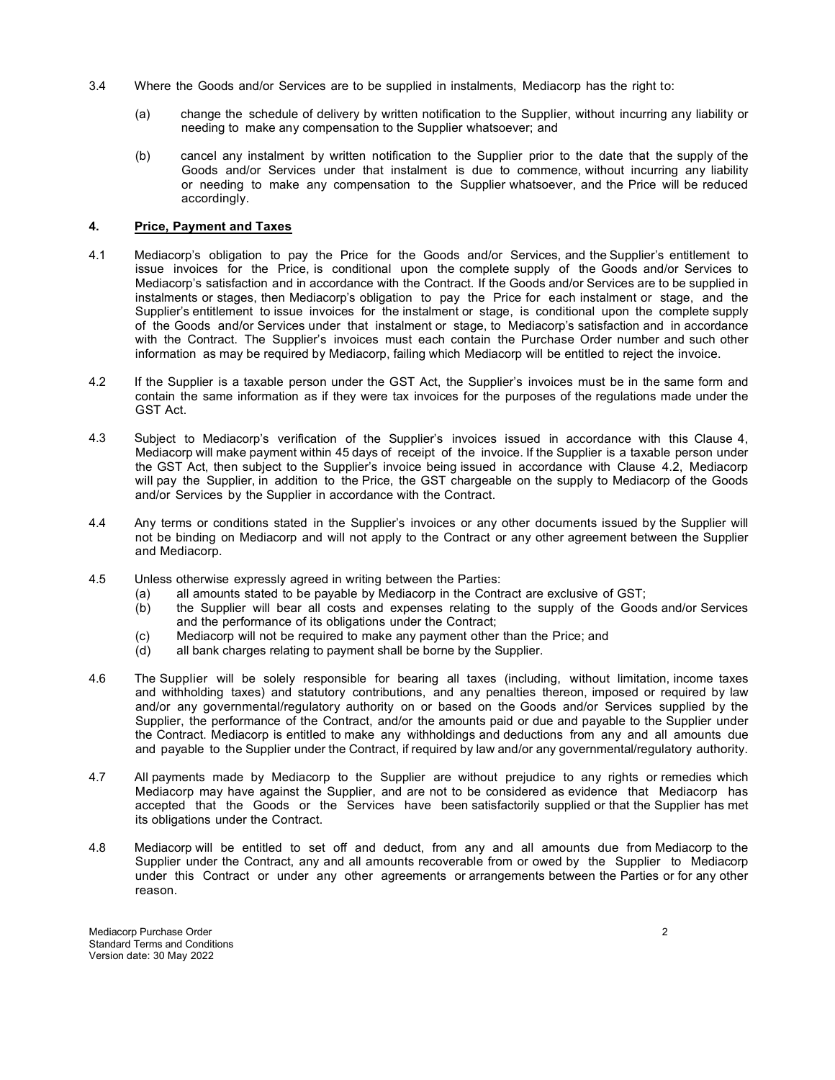- 3.4 Where the Goods and/or Services are to be supplied in instalments, Mediacorp has the right to:
	- (a) change the schedule of delivery by written notification to the Supplier, without incurring any liability or needing to make any compensation to the Supplier whatsoever; and
	- (b) cancel any instalment by written notification to the Supplier prior to the date that the supply of the Goods and/or Services under that instalment is due to commence, without incurring any liability or needing to make any compensation to the Supplier whatsoever, and the Price will be reduced accordingly.

#### **4. Price, Payment and Taxes**

- 4.1 Mediacorp's obligation to pay the Price for the Goods and/or Services, and the Supplier's entitlement to issue invoices for the Price, is conditional upon the complete supply of the Goods and/or Services to Mediacorp's satisfaction and in accordance with the Contract. If the Goods and/or Services are to be supplied in instalments or stages, then Mediacorp's obligation to pay the Price for each instalment or stage, and the Supplier's entitlement to issue invoices for the instalment or stage, is conditional upon the complete supply of the Goods and/or Services under that instalment or stage, to Mediacorp's satisfaction and in accordance with the Contract. The Supplier's invoices must each contain the Purchase Order number and such other information as may be required by Mediacorp, failing which Mediacorp will be entitled to reject the invoice.
- 4.2 If the Supplier is a taxable person under the GST Act, the Supplier's invoices must be in the same form and contain the same information as if they were tax invoices for the purposes of the regulations made under the GST Act.
- 4.3 Subject to Mediacorp's verification of the Supplier's invoices issued in accordance with this Clause 4, Mediacorp will make payment within 45 days of receipt of the invoice. If the Supplier is a taxable person under the GST Act, then subject to the Supplier's invoice being issued in accordance with Clause 4.2, Mediacorp will pay the Supplier, in addition to the Price, the GST chargeable on the supply to Mediacorp of the Goods and/or Services by the Supplier in accordance with the Contract.
- 4.4 Any terms or conditions stated in the Supplier's invoices or any other documents issued by the Supplier will not be binding on Mediacorp and will not apply to the Contract or any other agreement between the Supplier and Mediacorp.
- 4.5 Unless otherwise expressly agreed in writing between the Parties:
	- (a) all amounts stated to be payable by Mediacorp in the Contract are exclusive of GST;
	- (b) the Supplier will bear all costs and expenses relating to the supply of the Goods and/or Services and the performance of its obligations under the Contract;
	- (c) Mediacorp will not be required to make any payment other than the Price; and (d) all bank charges relating to payment shall be borne by the Supplier.
	- all bank charges relating to payment shall be borne by the Supplier.
- 4.6 The Supplier will be solely responsible for bearing all taxes (including, without limitation, income taxes and withholding taxes) and statutory contributions, and any penalties thereon, imposed or required by law and/or any governmental/regulatory authority on or based on the Goods and/or Services supplied by the Supplier, the performance of the Contract, and/or the amounts paid or due and payable to the Supplier under the Contract. Mediacorp is entitled to make any withholdings and deductions from any and all amounts due and payable to the Supplier under the Contract, if required by law and/or any governmental/regulatory authority.
- 4.7 All payments made by Mediacorp to the Supplier are without prejudice to any rights or remedies which Mediacorp may have against the Supplier, and are not to be considered as evidence that Mediacorp has accepted that the Goods or the Services have been satisfactorily supplied or that the Supplier has met its obligations under the Contract.
- 4.8 Mediacorp will be entitled to set off and deduct, from any and all amounts due from Mediacorp to the Supplier under the Contract, any and all amounts recoverable from or owed by the Supplier to Mediacorp under this Contract or under any other agreements or arrangements between the Parties or for any other reason.

Mediacorp Purchase Order 2 Standard Terms and Conditions Version date: 30 May 2022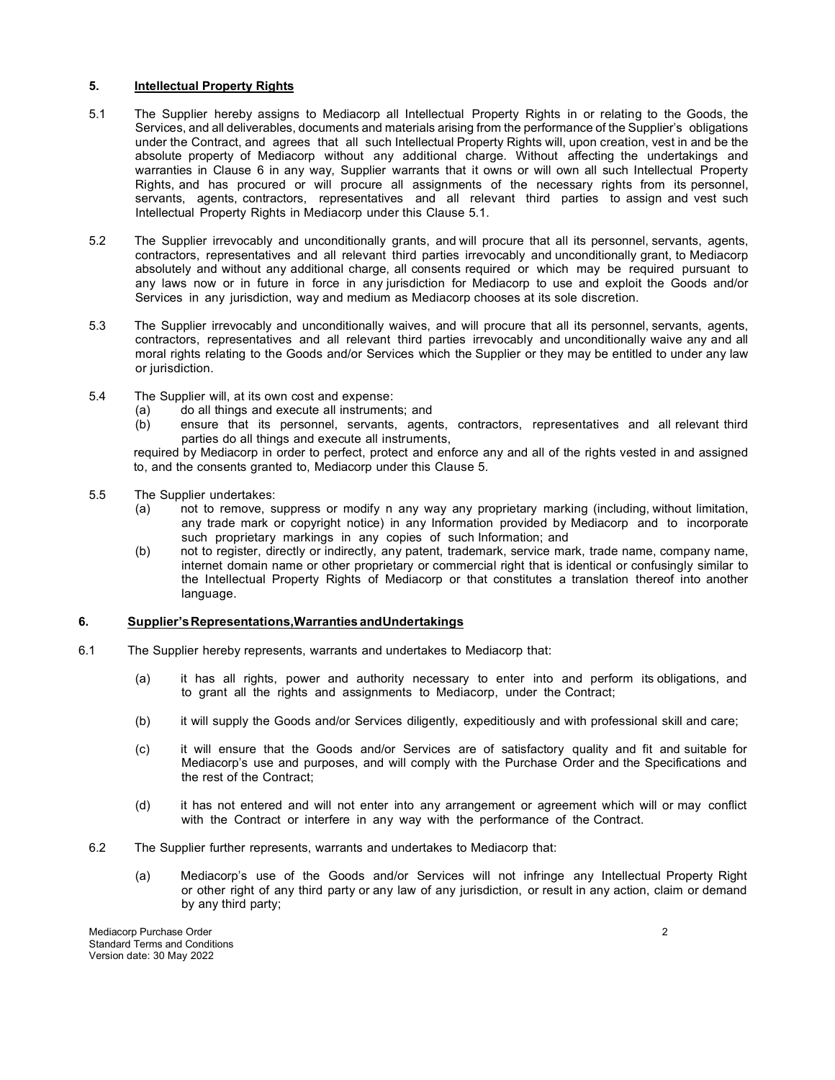## **5. Intellectual Property Rights**

- 5.1 The Supplier hereby assigns to Mediacorp all Intellectual Property Rights in or relating to the Goods, the Services, and all deliverables, documents and materials arising from the performance of the Supplier's obligations under the Contract, and agrees that all such Intellectual Property Rights will, upon creation, vest in and be the absolute property of Mediacorp without any additional charge. Without affecting the undertakings and warranties in Clause 6 in any way, Supplier warrants that it owns or will own all such Intellectual Property Rights, and has procured or will procure all assignments of the necessary rights from its personnel, servants, agents, contractors, representatives and all relevant third parties to assign and vest such Intellectual Property Rights in Mediacorp under this Clause 5.1.
- 5.2 The Supplier irrevocably and unconditionally grants, and will procure that all its personnel, servants, agents, contractors, representatives and all relevant third parties irrevocably and unconditionally grant, to Mediacorp absolutely and without any additional charge, all consents required or which may be required pursuant to any laws now or in future in force in any jurisdiction for Mediacorp to use and exploit the Goods and/or Services in any jurisdiction, way and medium as Mediacorp chooses at its sole discretion.
- 5.3 The Supplier irrevocably and unconditionally waives, and will procure that all its personnel, servants, agents, contractors, representatives and all relevant third parties irrevocably and unconditionally waive any and all moral rights relating to the Goods and/or Services which the Supplier or they may be entitled to under any law or jurisdiction.
- 5.4 The Supplier will, at its own cost and expense:
	- (a) do all things and execute all instruments; and
	- (b) ensure that its personnel, servants, agents, contractors, representatives and all relevant third parties do all things and execute all instruments,

required by Mediacorp in order to perfect, protect and enforce any and all of the rights vested in and assigned to, and the consents granted to, Mediacorp under this Clause 5.

- 5.5 The Supplier undertakes:
	- (a) not to remove, suppress or modify n any way any proprietary marking (including, without limitation, any trade mark or copyright notice) in any Information provided by Mediacorp and to incorporate such proprietary markings in any copies of such Information; and
	- (b) not to register, directly or indirectly, any patent, trademark, service mark, trade name, company name, internet domain name or other proprietary or commercial right that is identical or confusingly similar to the Intellectual Property Rights of Mediacorp or that constitutes a translation thereof into another language.

## **6. Supplier's Representations, Warranties and Undertakings**

- 6.1 The Supplier hereby represents, warrants and undertakes to Mediacorp that:
	- (a) it has all rights, power and authority necessary to enter into and perform its obligations, and to grant all the rights and assignments to Mediacorp, under the Contract;
	- (b) it will supply the Goods and/or Services diligently, expeditiously and with professional skill and care;
	- (c) it will ensure that the Goods and/or Services are of satisfactory quality and fit and suitable for Mediacorp's use and purposes, and will comply with the Purchase Order and the Specifications and the rest of the Contract;
	- (d) it has not entered and will not enter into any arrangement or agreement which will or may conflict with the Contract or interfere in any way with the performance of the Contract.
	- 6.2 The Supplier further represents, warrants and undertakes to Mediacorp that:
		- (a) Mediacorp's use of the Goods and/or Services will not infringe any Intellectual Property Right or other right of any third party or any law of any jurisdiction, or result in any action, claim or demand by any third party;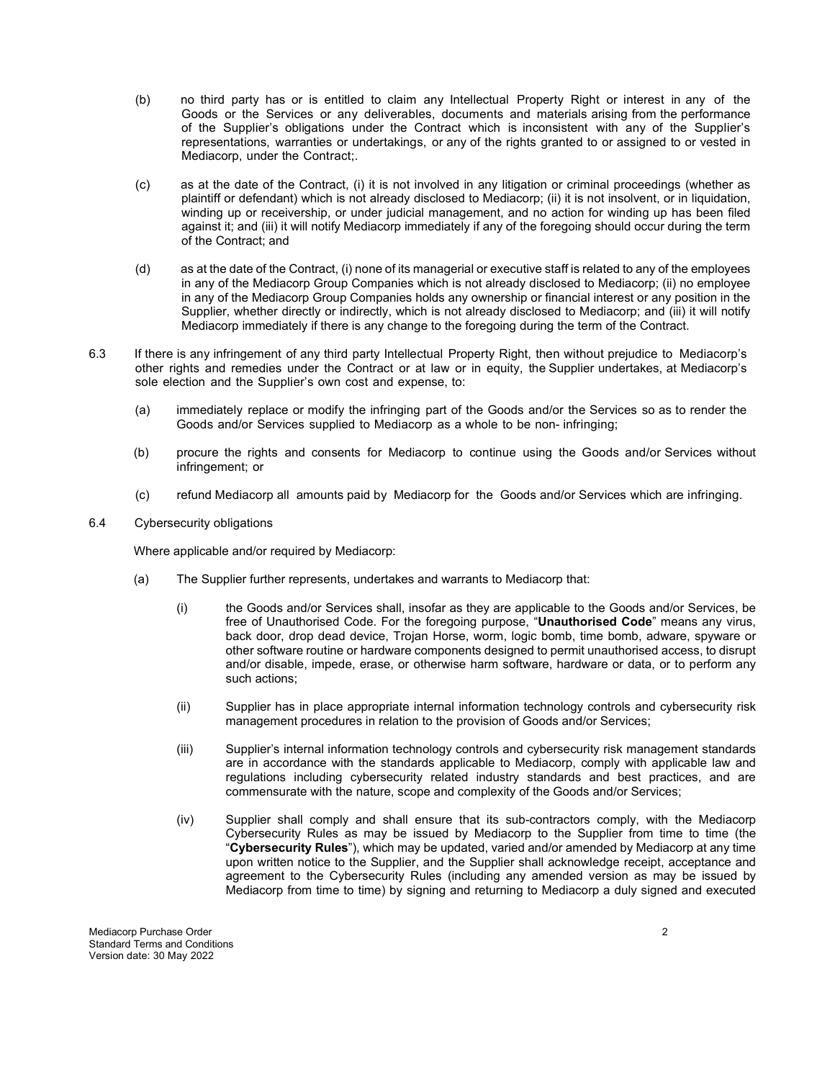- (b) no third party has or is entitled to claim any Intellectual Property Right or interest in any of the Goods or the Services or any deliverables, documents and materials arising from the performance of the Supplier's obligations under the Contract which is inconsistent with any of the Supplier's representations, warranties or undertakings, or any of the rights granted to or assigned to or vested in Mediacorp, under the Contract;.
- (c) as at the date of the Contract, (i) it is not involved in any litigation or criminal proceedings (whether as plaintiff or defendant) which is not already disclosed to Mediacorp; (ii) it is not insolvent, or in liquidation, winding up or receivership, or under judicial management, and no action for winding up has been filed against it; and (iii) it will notify Mediacorp immediately if any of the foregoing should occur during the term of the Contract; and
- (d) as at the date of the Contract, (i) none of its managerial or executive staff is related to any of the employees in any of the Mediacorp Group Companies which is not already disclosed to Mediacorp; (ii) no employee in any of the Mediacorp Group Companies holds any ownership or financial interest or any position in the Supplier, whether directly or indirectly, which is not already disclosed to Mediacorp; and (iii) it will notify Mediacorp immediately if there is any change to the foregoing during the term of the Contract.
- 6.3 If there is any infringement of any third party Intellectual Property Right, then without prejudice to Mediacorp's other rights and remedies under the Contract or at law or in equity, the Supplier undertakes, at Mediacorp's sole election and the Supplier's own cost and expense, to:
	- (a) immediately replace or modify the infringing part of the Goods and/or the Services so as to render the Goods and/or Services supplied to Mediacorp as a whole to be non- infringing;
	- (b) procure the rights and consents for Mediacorp to continue using the Goods and/or Services without infringement; or
	- (c) refund Mediacorp all amounts paid by Mediacorp for the Goods and/or Services which are infringing.
- 6.4 Cybersecurity obligations

Where applicable and/or required by Mediacorp:

- (a) The Supplier further represents, undertakes and warrants to Mediacorp that:
	- (i) the Goods and/or Services shall, insofar as they are applicable to the Goods and/or Services, be free of Unauthorised Code. For the foregoing purpose, "**Unauthorised Code**" means any virus, back door, drop dead device, Trojan Horse, worm, logic bomb, time bomb, adware, spyware or other software routine or hardware components designed to permit unauthorised access, to disrupt and/or disable, impede, erase, or otherwise harm software, hardware or data, or to perform any such actions;
	- (ii) Supplier has in place appropriate internal information technology controls and cybersecurity risk management procedures in relation to the provision of Goods and/or Services;
	- (iii) Supplier's internal information technology controls and cybersecurity risk management standards are in accordance with the standards applicable to Mediacorp, comply with applicable law and regulations including cybersecurity related industry standards and best practices, and are commensurate with the nature, scope and complexity of the Goods and/or Services;
	- (iv) Supplier shall comply and shall ensure that its sub-contractors comply, with the Mediacorp Cybersecurity Rules as may be issued by Mediacorp to the Supplier from time to time (the "**Cybersecurity Rules**"), which may be updated, varied and/or amended by Mediacorp at any time upon written notice to the Supplier, and the Supplier shall acknowledge receipt, acceptance and agreement to the Cybersecurity Rules (including any amended version as may be issued by Mediacorp from time to time) by signing and returning to Mediacorp a duly signed and executed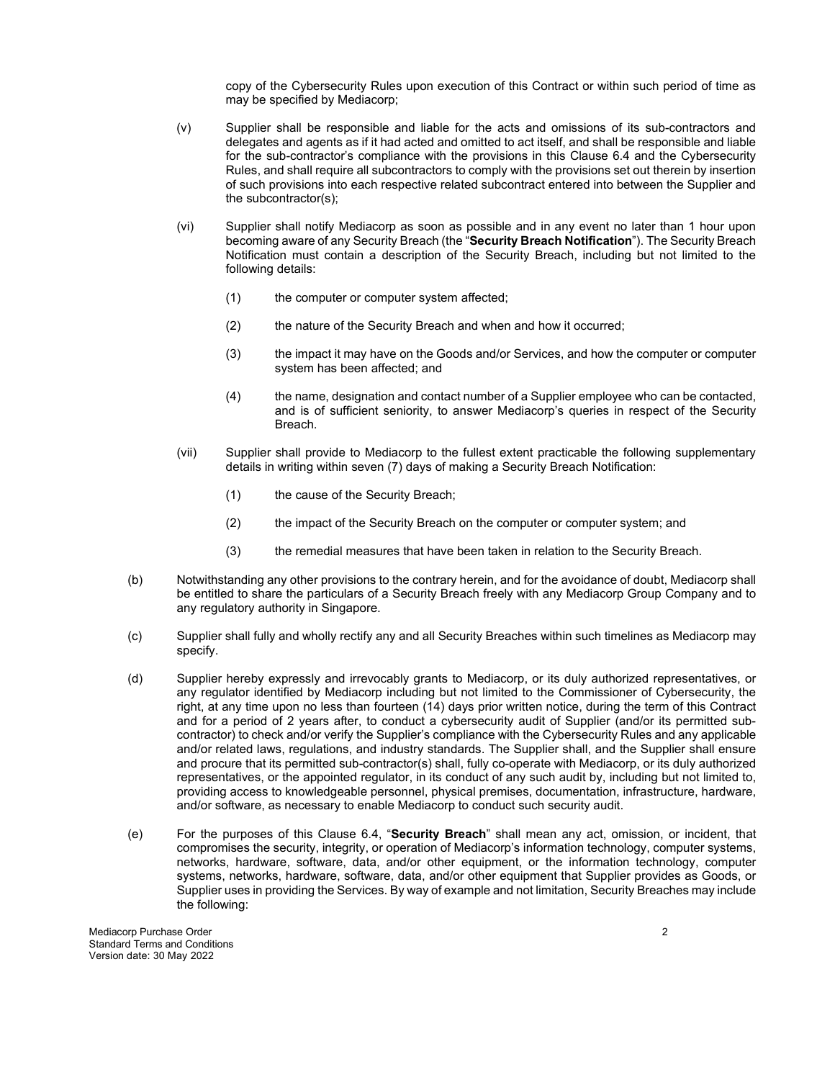copy of the Cybersecurity Rules upon execution of this Contract or within such period of time as may be specified by Mediacorp;

- (v) Supplier shall be responsible and liable for the acts and omissions of its sub-contractors and delegates and agents as if it had acted and omitted to act itself, and shall be responsible and liable for the sub-contractor's compliance with the provisions in this Clause 6.4 and the Cybersecurity Rules, and shall require all subcontractors to comply with the provisions set out therein by insertion of such provisions into each respective related subcontract entered into between the Supplier and the subcontractor(s);
- (vi) Supplier shall notify Mediacorp as soon as possible and in any event no later than 1 hour upon becoming aware of any Security Breach (the "**Security Breach Notification**"). The Security Breach Notification must contain a description of the Security Breach, including but not limited to the following details:
	- (1) the computer or computer system affected;
	- (2) the nature of the Security Breach and when and how it occurred;
	- (3) the impact it may have on the Goods and/or Services, and how the computer or computer system has been affected; and
	- (4) the name, designation and contact number of a Supplier employee who can be contacted, and is of sufficient seniority, to answer Mediacorp's queries in respect of the Security Breach.
- (vii) Supplier shall provide to Mediacorp to the fullest extent practicable the following supplementary details in writing within seven (7) days of making a Security Breach Notification:
	- (1) the cause of the Security Breach;
	- (2) the impact of the Security Breach on the computer or computer system; and
	- (3) the remedial measures that have been taken in relation to the Security Breach.
- (b) Notwithstanding any other provisions to the contrary herein, and for the avoidance of doubt, Mediacorp shall be entitled to share the particulars of a Security Breach freely with any Mediacorp Group Company and to any regulatory authority in Singapore.
- (c) Supplier shall fully and wholly rectify any and all Security Breaches within such timelines as Mediacorp may specify.
- (d) Supplier hereby expressly and irrevocably grants to Mediacorp, or its duly authorized representatives, or any regulator identified by Mediacorp including but not limited to the Commissioner of Cybersecurity, the right, at any time upon no less than fourteen (14) days prior written notice, during the term of this Contract and for a period of 2 years after, to conduct a cybersecurity audit of Supplier (and/or its permitted subcontractor) to check and/or verify the Supplier's compliance with the Cybersecurity Rules and any applicable and/or related laws, regulations, and industry standards. The Supplier shall, and the Supplier shall ensure and procure that its permitted sub-contractor(s) shall, fully co-operate with Mediacorp, or its duly authorized representatives, or the appointed regulator, in its conduct of any such audit by, including but not limited to, providing access to knowledgeable personnel, physical premises, documentation, infrastructure, hardware, and/or software, as necessary to enable Mediacorp to conduct such security audit.
- (e) For the purposes of this Clause 6.4, "**Security Breach**" shall mean any act, omission, or incident, that compromises the security, integrity, or operation of Mediacorp's information technology, computer systems, networks, hardware, software, data, and/or other equipment, or the information technology, computer systems, networks, hardware, software, data, and/or other equipment that Supplier provides as Goods, or Supplier uses in providing the Services. By way of example and not limitation, Security Breaches may include the following:

Mediacorp Purchase Order 2 Standard Terms and Conditions Version date: 30 May 2022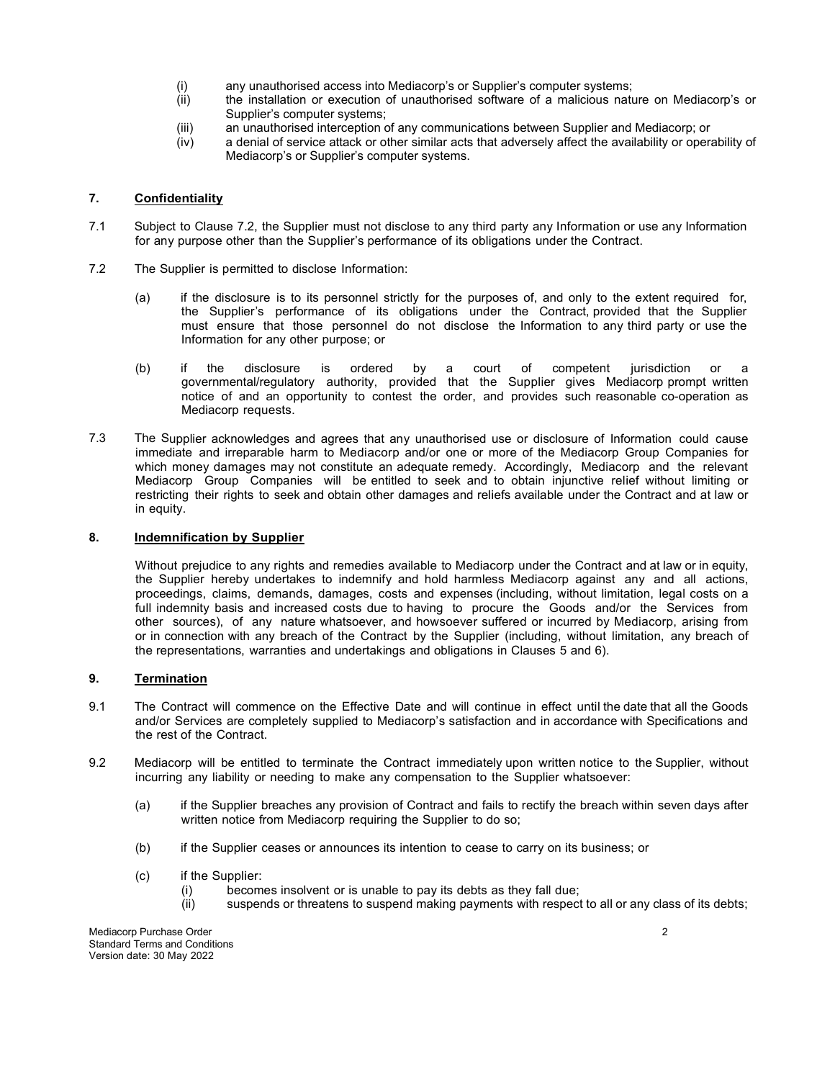- (i) any unauthorised access into Mediacorp's or Supplier's computer systems;
- (ii) the installation or execution of unauthorised software of a malicious nature on Mediacorp's or Supplier's computer systems;
- (iii) an unauthorised interception of any communications between Supplier and Mediacorp; or<br>(iv) a denial of service attack or other similar acts that adversely affect the availability or opera
- a denial of service attack or other similar acts that adversely affect the availability or operability of Mediacorp's or Supplier's computer systems.

## **7. Confidentiality**

- 7.1 Subject to Clause 7.2, the Supplier must not disclose to any third party any Information or use any Information for any purpose other than the Supplier's performance of its obligations under the Contract.
- 7.2 The Supplier is permitted to disclose Information:
	- (a) if the disclosure is to its personnel strictly for the purposes of, and only to the extent required for, the Supplier's performance of its obligations under the Contract, provided that the Supplier must ensure that those personnel do not disclose the Information to any third party or use the Information for any other purpose; or
	- (b) if the disclosure is ordered by a court of competent jurisdiction or a governmental/regulatory authority, provided that the Supplier gives Mediacorp prompt written notice of and an opportunity to contest the order, and provides such reasonable co-operation as Mediacorp requests.
- 7.3 The Supplier acknowledges and agrees that any unauthorised use or disclosure of Information could cause immediate and irreparable harm to Mediacorp and/or one or more of the Mediacorp Group Companies for which money damages may not constitute an adequate remedy. Accordingly, Mediacorp and the relevant Mediacorp Group Companies will be entitled to seek and to obtain injunctive relief without limiting or restricting their rights to seek and obtain other damages and reliefs available under the Contract and at law or in equity.

#### **8. Indemnification by Supplier**

Without prejudice to any rights and remedies available to Mediacorp under the Contract and at law or in equity, the Supplier hereby undertakes to indemnify and hold harmless Mediacorp against any and all actions, proceedings, claims, demands, damages, costs and expenses (including, without limitation, legal costs on a full indemnity basis and increased costs due to having to procure the Goods and/or the Services from other sources), of any nature whatsoever, and howsoever suffered or incurred by Mediacorp, arising from or in connection with any breach of the Contract by the Supplier (including, without limitation, any breach of the representations, warranties and undertakings and obligations in Clauses 5 and 6).

## **9. Termination**

- 9.1 The Contract will commence on the Effective Date and will continue in effect until the date that all the Goods and/or Services are completely supplied to Mediacorp's satisfaction and in accordance with Specifications and the rest of the Contract.
- 9.2 Mediacorp will be entitled to terminate the Contract immediately upon written notice to the Supplier, without incurring any liability or needing to make any compensation to the Supplier whatsoever:
	- (a) if the Supplier breaches any provision of Contract and fails to rectify the breach within seven days after written notice from Mediacorp requiring the Supplier to do so;
	- (b) if the Supplier ceases or announces its intention to cease to carry on its business; or
	- (c) if the Supplier:
		- (i) becomes insolvent or is unable to pay its debts as they fall due;<br>(ii) suspends or threatens to suspend making payments with respect
		- suspends or threatens to suspend making payments with respect to all or any class of its debts;

Mediacorp Purchase Order 2 Standard Terms and Conditions Version date: 30 May 2022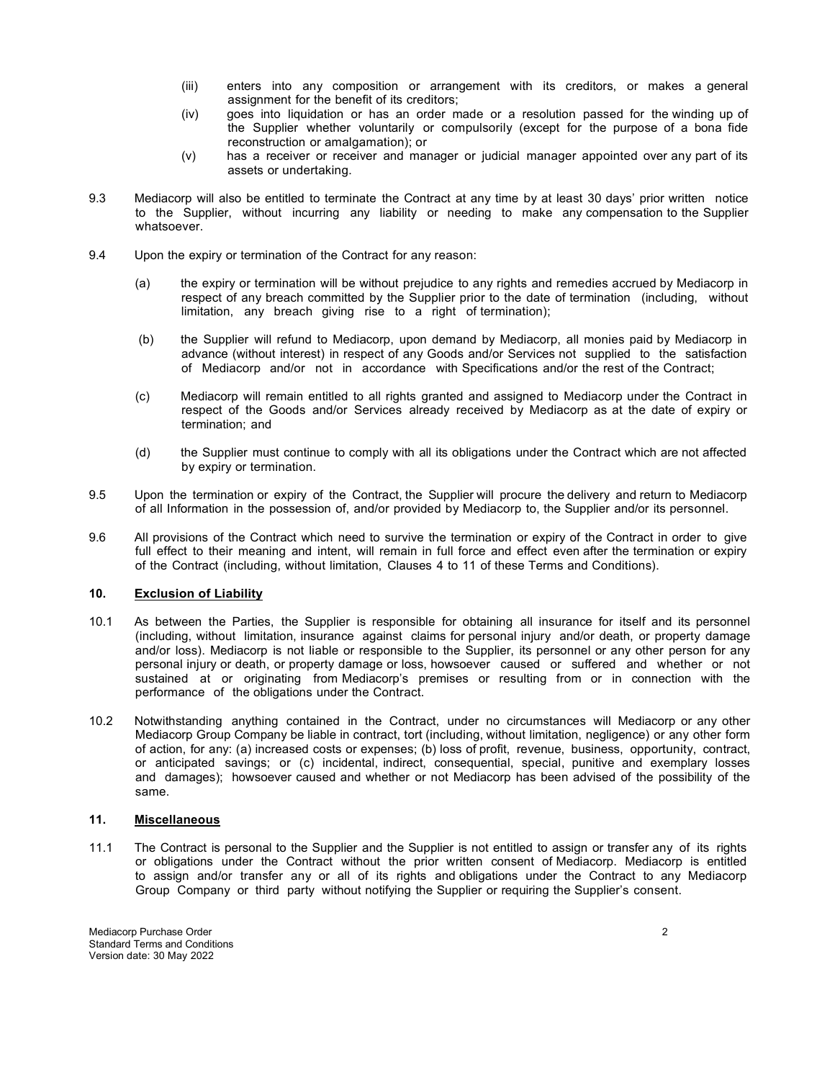- (iii) enters into any composition or arrangement with its creditors, or makes a general assignment for the benefit of its creditors;
- (iv) goes into liquidation or has an order made or a resolution passed for the winding up of the Supplier whether voluntarily or compulsorily (except for the purpose of a bona fide reconstruction or amalgamation); or
- (v) has a receiver or receiver and manager or judicial manager appointed over any part of its assets or undertaking.
- 9.3 Mediacorp will also be entitled to terminate the Contract at any time by at least 30 days' prior written notice to the Supplier, without incurring any liability or needing to make any compensation to the Supplier whatsoever.
- 9.4 Upon the expiry or termination of the Contract for any reason:
	- (a) the expiry or termination will be without prejudice to any rights and remedies accrued by Mediacorp in respect of any breach committed by the Supplier prior to the date of termination (including, without limitation, any breach giving rise to a right of termination);
	- (b) the Supplier will refund to Mediacorp, upon demand by Mediacorp, all monies paid by Mediacorp in advance (without interest) in respect of any Goods and/or Services not supplied to the satisfaction of Mediacorp and/or not in accordance with Specifications and/or the rest of the Contract;
	- (c) Mediacorp will remain entitled to all rights granted and assigned to Mediacorp under the Contract in respect of the Goods and/or Services already received by Mediacorp as at the date of expiry or termination; and
	- (d) the Supplier must continue to comply with all its obligations under the Contract which are not affected by expiry or termination.
- 9.5 Upon the termination or expiry of the Contract, the Supplier will procure the delivery and return to Mediacorp of all Information in the possession of, and/or provided by Mediacorp to, the Supplier and/or its personnel.
- 9.6 All provisions of the Contract which need to survive the termination or expiry of the Contract in order to give full effect to their meaning and intent, will remain in full force and effect even after the termination or expiry of the Contract (including, without limitation, Clauses 4 to 11 of these Terms and Conditions).

## **10. Exclusion of Liability**

- 10.1 As between the Parties, the Supplier is responsible for obtaining all insurance for itself and its personnel (including, without limitation, insurance against claims for personal injury and/or death, or property damage and/or loss). Mediacorp is not liable or responsible to the Supplier, its personnel or any other person for any personal injury or death, or property damage or loss, howsoever caused or suffered and whether or not sustained at or originating from Mediacorp's premises or resulting from or in connection with the performance of the obligations under the Contract.
- 10.2 Notwithstanding anything contained in the Contract, under no circumstances will Mediacorp or any other Mediacorp Group Company be liable in contract, tort (including, without limitation, negligence) or any other form of action, for any: (a) increased costs or expenses; (b) loss of profit, revenue, business, opportunity, contract, or anticipated savings; or (c) incidental, indirect, consequential, special, punitive and exemplary losses and damages); howsoever caused and whether or not Mediacorp has been advised of the possibility of the same.

#### **11. Miscellaneous**

11.1 The Contract is personal to the Supplier and the Supplier is not entitled to assign or transfer any of its rights or obligations under the Contract without the prior written consent of Mediacorp. Mediacorp is entitled to assign and/or transfer any or all of its rights and obligations under the Contract to any Mediacorp Group Company or third party without notifying the Supplier or requiring the Supplier's consent.

Mediacorp Purchase Order 2 Standard Terms and Conditions Version date: 30 May 2022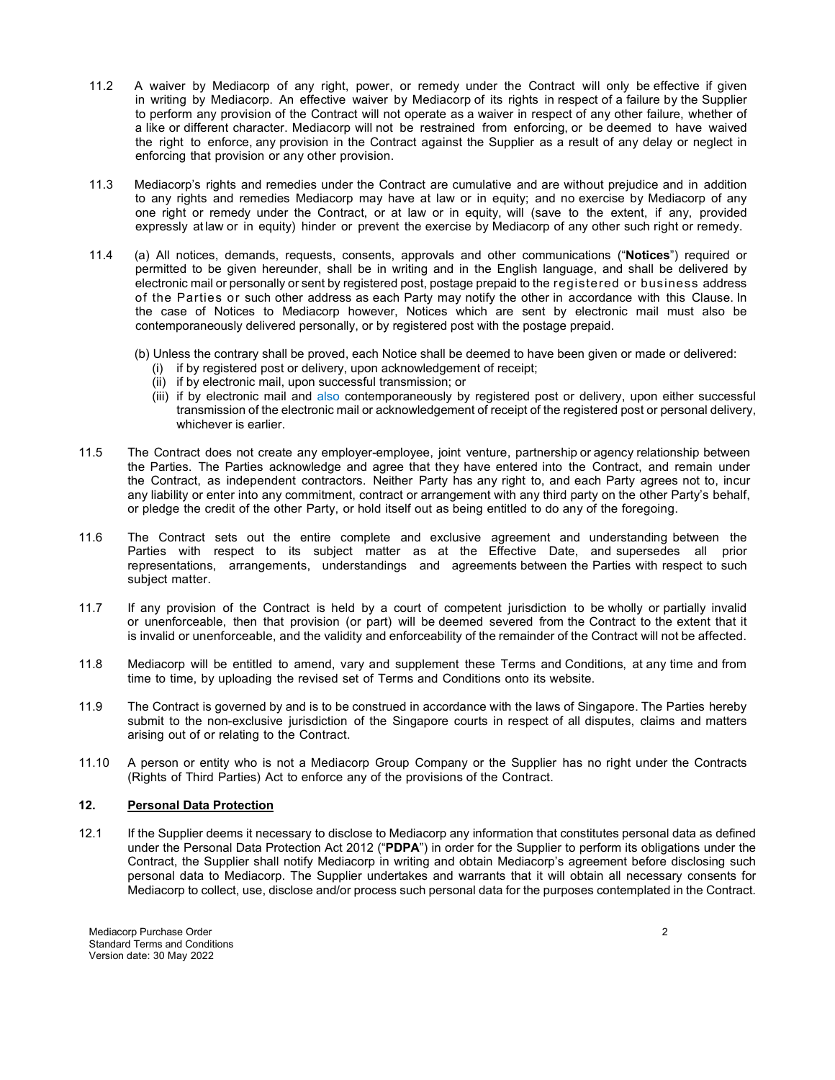- 11.2 A waiver by Mediacorp of any right, power, or remedy under the Contract will only be effective if given in writing by Mediacorp. An effective waiver by Mediacorp of its rights in respect of a failure by the Supplier to perform any provision of the Contract will not operate as a waiver in respect of any other failure, whether of a like or different character. Mediacorp will not be restrained from enforcing, or be deemed to have waived the right to enforce, any provision in the Contract against the Supplier as a result of any delay or neglect in enforcing that provision or any other provision.
- 11.3 Mediacorp's rights and remedies under the Contract are cumulative and are without prejudice and in addition to any rights and remedies Mediacorp may have at law or in equity; and no exercise by Mediacorp of any one right or remedy under the Contract, or at law or in equity, will (save to the extent, if any, provided expressly at law or in equity) hinder or prevent the exercise by Mediacorp of any other such right or remedy.
- 11.4 (a) All notices, demands, requests, consents, approvals and other communications ("**Notices**") required or permitted to be given hereunder, shall be in writing and in the English language, and shall be delivered by electronic mail or personally or sent by registered post, postage prepaid to the registered or business address of the Parties or such other address as each Party may notify the other in accordance with this Clause. In the case of Notices to Mediacorp however, Notices which are sent by electronic mail must also be contemporaneously delivered personally, or by registered post with the postage prepaid.
	- (b) Unless the contrary shall be proved, each Notice shall be deemed to have been given or made or delivered:
		- (i) if by registered post or delivery, upon acknowledgement of receipt;
		- (ii) if by electronic mail, upon successful transmission; or
		- (iii) if by electronic mail and also contemporaneously by registered post or delivery, upon either successful transmission of the electronic mail or acknowledgement of receipt of the registered post or personal delivery, whichever is earlier.
- 11.5 The Contract does not create any employer-employee, joint venture, partnership or agency relationship between the Parties. The Parties acknowledge and agree that they have entered into the Contract, and remain under the Contract, as independent contractors. Neither Party has any right to, and each Party agrees not to, incur any liability or enter into any commitment, contract or arrangement with any third party on the other Party's behalf, or pledge the credit of the other Party, or hold itself out as being entitled to do any of the foregoing.
- 11.6 The Contract sets out the entire complete and exclusive agreement and understanding between the Parties with respect to its subject matter as at the Effective Date, and supersedes all prior representations, arrangements, understandings and agreements between the Parties with respect to such subject matter.
- 11.7 If any provision of the Contract is held by a court of competent jurisdiction to be wholly or partially invalid or unenforceable, then that provision (or part) will be deemed severed from the Contract to the extent that it is invalid or unenforceable, and the validity and enforceability of the remainder of the Contract will not be affected.
- 11.8 Mediacorp will be entitled to amend, vary and supplement these Terms and Conditions, at any time and from time to time, by uploading the revised set of Terms and Conditions onto its website.
- 11.9 The Contract is governed by and is to be construed in accordance with the laws of Singapore. The Parties hereby submit to the non-exclusive jurisdiction of the Singapore courts in respect of all disputes, claims and matters arising out of or relating to the Contract.
- 11.10 A person or entity who is not a Mediacorp Group Company or the Supplier has no right under the Contracts (Rights of Third Parties) Act to enforce any of the provisions of the Contract.

## **12. Personal Data Protection**

12.1 If the Supplier deems it necessary to disclose to Mediacorp any information that constitutes personal data as defined under the Personal Data Protection Act 2012 ("**PDPA**") in order for the Supplier to perform its obligations under the Contract, the Supplier shall notify Mediacorp in writing and obtain Mediacorp's agreement before disclosing such personal data to Mediacorp. The Supplier undertakes and warrants that it will obtain all necessary consents for Mediacorp to collect, use, disclose and/or process such personal data for the purposes contemplated in the Contract.